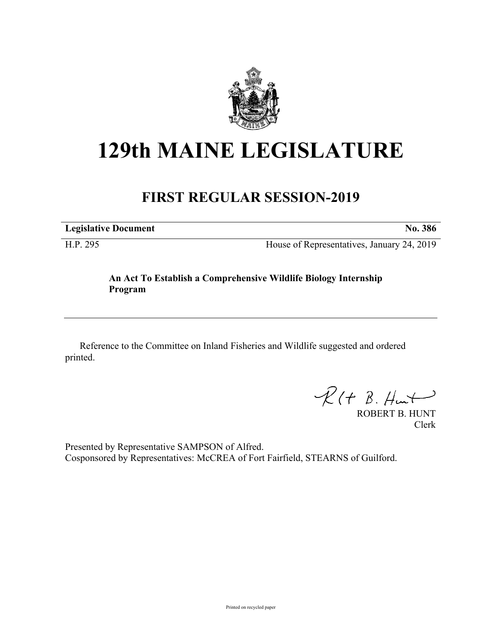

## **129th MAINE LEGISLATURE**

## **FIRST REGULAR SESSION-2019**

**Legislative Document No. 386**

H.P. 295 House of Representatives, January 24, 2019

## **An Act To Establish a Comprehensive Wildlife Biology Internship Program**

Reference to the Committee on Inland Fisheries and Wildlife suggested and ordered printed.

 $R(H B. H<sub>un</sub>+)$ 

ROBERT B. HUNT Clerk

Presented by Representative SAMPSON of Alfred. Cosponsored by Representatives: McCREA of Fort Fairfield, STEARNS of Guilford.